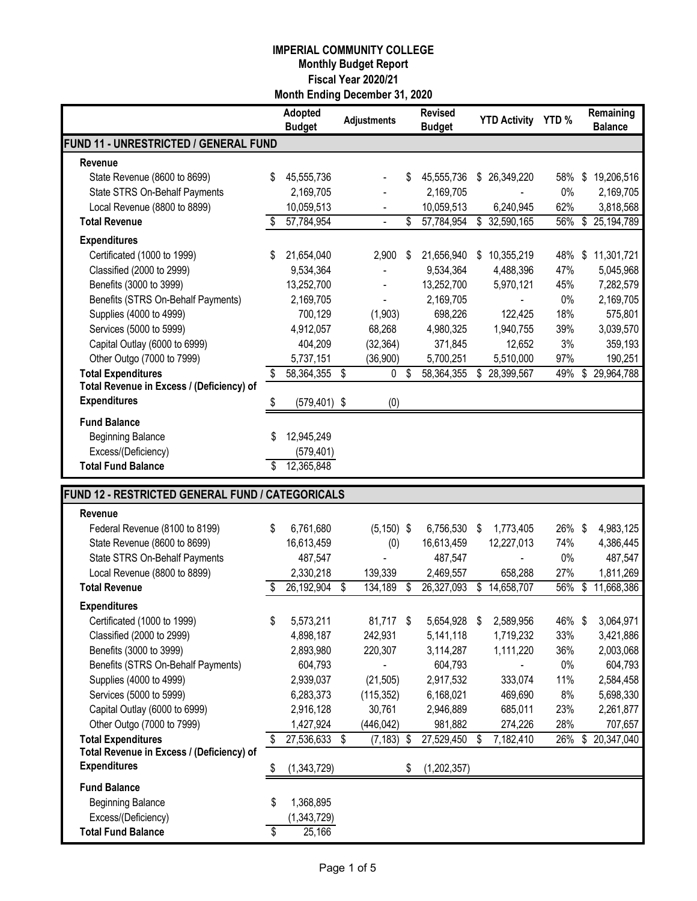|                                                                  |    | Adopted<br><b>Budget</b> | <b>Adjustments</b>       | <b>Revised</b><br><b>Budget</b> |    | <b>YTD Activity</b> | YTD%   |               | Remaining<br><b>Balance</b> |
|------------------------------------------------------------------|----|--------------------------|--------------------------|---------------------------------|----|---------------------|--------|---------------|-----------------------------|
| <b>FUND 11 - UNRESTRICTED / GENERAL FUND</b>                     |    |                          |                          |                                 |    |                     |        |               |                             |
| Revenue                                                          |    |                          |                          |                                 |    |                     |        |               |                             |
| State Revenue (8600 to 8699)                                     | \$ | 45,555,736               |                          | \$<br>45,555,736                | \$ | 26,349,220          | 58%    | \$            | 19,206,516                  |
| State STRS On-Behalf Payments                                    |    | 2,169,705                |                          | 2,169,705                       |    |                     | 0%     |               | 2,169,705                   |
| Local Revenue (8800 to 8899)                                     |    | 10,059,513               |                          | 10,059,513                      |    | 6,240,945           | 62%    |               | 3,818,568                   |
| <b>Total Revenue</b>                                             | S  | 57,784,954               | $\blacksquare$           | \$<br>57,784,954                |    | \$ 32,590,165       | 56%    |               | \$ 25,194,789               |
| <b>Expenditures</b>                                              |    |                          |                          |                                 |    |                     |        |               |                             |
| Certificated (1000 to 1999)                                      | S  | 21,654,040               | 2,900                    | \$<br>21,656,940                | S  | 10,355,219          | 48%    | \$            | 11,301,721                  |
| Classified (2000 to 2999)                                        |    | 9,534,364                | $\overline{\phantom{a}}$ | 9,534,364                       |    | 4,488,396           | 47%    |               | 5,045,968                   |
| Benefits (3000 to 3999)                                          |    | 13,252,700               |                          | 13,252,700                      |    | 5,970,121           | 45%    |               | 7,282,579                   |
| Benefits (STRS On-Behalf Payments)                               |    | 2,169,705                |                          | 2,169,705                       |    | $\frac{1}{2}$       | 0%     |               | 2,169,705                   |
| Supplies (4000 to 4999)                                          |    | 700,129                  | (1,903)                  | 698,226                         |    | 122,425             | 18%    |               | 575,801                     |
| Services (5000 to 5999)                                          |    | 4,912,057                | 68,268                   | 4,980,325                       |    | 1,940,755           | 39%    |               | 3,039,570                   |
| Capital Outlay (6000 to 6999)                                    |    | 404,209                  | (32, 364)                | 371,845                         |    | 12,652              | 3%     |               | 359,193                     |
| Other Outgo (7000 to 7999)                                       |    | 5,737,151                | (36,900)                 | 5,700,251                       |    | 5,510,000           | 97%    |               | 190,251                     |
| <b>Total Expenditures</b>                                        | \$ | 58,364,355               | \$<br>0                  | \$<br>58,364,355                | \$ | 28,399,567          | 49%    | \$            | 29,964,788                  |
| Total Revenue in Excess / (Deficiency) of                        |    |                          |                          |                                 |    |                     |        |               |                             |
| <b>Expenditures</b>                                              | \$ | $(579, 401)$ \$          | (0)                      |                                 |    |                     |        |               |                             |
| <b>Fund Balance</b>                                              |    |                          |                          |                                 |    |                     |        |               |                             |
| <b>Beginning Balance</b>                                         | S  | 12,945,249               |                          |                                 |    |                     |        |               |                             |
| Excess/(Deficiency)                                              |    | (579, 401)               |                          |                                 |    |                     |        |               |                             |
| <b>Total Fund Balance</b>                                        | S  | 12,365,848               |                          |                                 |    |                     |        |               |                             |
| FUND 12 - RESTRICTED GENERAL FUND / CATEGORICALS                 |    |                          |                          |                                 |    |                     |        |               |                             |
|                                                                  |    |                          |                          |                                 |    |                     |        |               |                             |
| Revenue                                                          |    |                          | $(5, 150)$ \$            |                                 |    |                     | 26% \$ |               |                             |
| Federal Revenue (8100 to 8199)                                   | \$ | 6,761,680                |                          | 6,756,530                       | S  | 1,773,405           |        |               | 4,983,125                   |
|                                                                  |    |                          |                          |                                 |    |                     |        |               |                             |
| State Revenue (8600 to 8699)                                     |    | 16,613,459               | (0)                      | 16,613,459                      |    | 12,227,013          | 74%    |               | 4,386,445                   |
| State STRS On-Behalf Payments                                    |    | 487,547                  |                          | 487,547                         |    |                     | 0%     |               | 487,547                     |
| Local Revenue (8800 to 8899)                                     |    | 2,330,218                | 139,339                  | 2,469,557                       |    | 658,288             | 27%    |               | 1,811,269                   |
| <b>Total Revenue</b>                                             | S. | 26,192,904               | \$<br>134,189            | \$<br>26,327,093                | \$ | 14,658,707          | 56%    | $\frac{1}{2}$ | 11,668,386                  |
| <b>Expenditures</b>                                              |    |                          |                          |                                 |    |                     |        |               |                             |
| Certificated (1000 to 1999)                                      | \$ | 5,573,211                | 81,717 \$                | 5,654,928                       | \$ | 2,589,956           | 46%    | \$            | 3,064,971                   |
| Classified (2000 to 2999)                                        |    | 4,898,187                | 242,931                  | 5,141,118                       |    | 1,719,232           | 33%    |               | 3,421,886                   |
| Benefits (3000 to 3999)                                          |    | 2,893,980                | 220,307                  | 3,114,287                       |    | 1,111,220           | 36%    |               | 2,003,068                   |
| Benefits (STRS On-Behalf Payments)                               |    | 604,793                  |                          | 604,793                         |    |                     | $0\%$  |               | 604,793                     |
| Supplies (4000 to 4999)                                          |    | 2,939,037                | (21, 505)                | 2,917,532                       |    | 333,074             | 11%    |               | 2,584,458                   |
| Services (5000 to 5999)                                          |    | 6,283,373                | (115, 352)               | 6,168,021                       |    | 469,690             | 8%     |               | 5,698,330                   |
| Capital Outlay (6000 to 6999)                                    |    | 2,916,128                | 30,761                   | 2,946,889                       |    | 685,011             | 23%    |               | 2,261,877                   |
| Other Outgo (7000 to 7999)                                       |    | 1,427,924                | (446, 042)               | 981,882                         |    | 274,226             | 28%    |               | 707,657                     |
| <b>Total Expenditures</b>                                        | \$ | 27,536,633               | \$<br>$(7, 183)$ \$      | 27,529,450                      | S  | 7,182,410           | 26%    | \$            | 20,347,040                  |
| Total Revenue in Excess / (Deficiency) of<br><b>Expenditures</b> | \$ | (1,343,729)              |                          | \$<br>(1,202,357)               |    |                     |        |               |                             |
| <b>Fund Balance</b>                                              |    |                          |                          |                                 |    |                     |        |               |                             |
| <b>Beginning Balance</b>                                         | S  | 1,368,895                |                          |                                 |    |                     |        |               |                             |
| Excess/(Deficiency)                                              |    | (1,343,729)              |                          |                                 |    |                     |        |               |                             |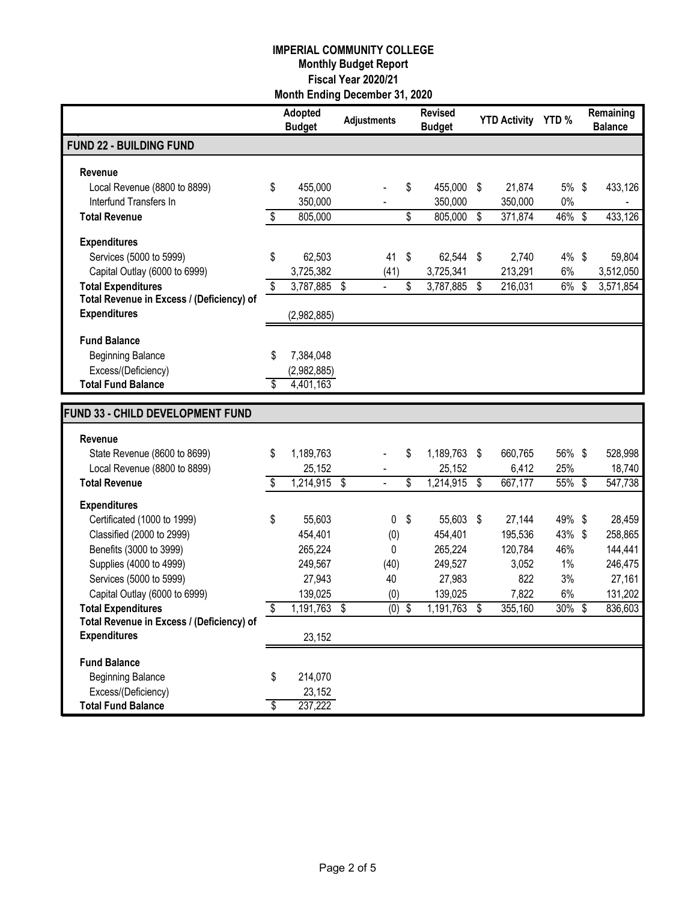|                                                    |                          | Adopted<br><b>Budget</b> | <b>Adjustments</b>   |                  | <b>Revised</b><br><b>Budget</b> |      | <b>YTD Activity</b> | YTD%        | Remaining<br><b>Balance</b> |
|----------------------------------------------------|--------------------------|--------------------------|----------------------|------------------|---------------------------------|------|---------------------|-------------|-----------------------------|
| <b>FUND 22 - BUILDING FUND</b>                     |                          |                          |                      |                  |                                 |      |                     |             |                             |
| <b>Revenue</b>                                     |                          |                          |                      |                  |                                 |      |                     |             |                             |
| Local Revenue (8800 to 8899)                       | \$                       | 455,000                  |                      |                  | \$<br>455,000                   | \$   | 21,874              | 5% \$       | 433,126                     |
| Interfund Transfers In                             |                          | 350,000                  |                      |                  | 350,000                         |      | 350,000             | 0%          |                             |
| <b>Total Revenue</b>                               | \$                       | 805,000                  |                      |                  | \$<br>805,000                   | \$   | 371,874             | 46%         | \$<br>433,126               |
| <b>Expenditures</b>                                |                          |                          |                      |                  |                                 |      |                     |             |                             |
| Services (5000 to 5999)                            | \$                       | 62,503                   |                      | 41               | \$<br>62,544                    | \$   | 2,740               | 4%          | \$<br>59,804                |
| Capital Outlay (6000 to 6999)                      |                          | 3,725,382                |                      | (41)             | 3,725,341                       |      | 213,291             | 6%          | 3,512,050                   |
| <b>Total Expenditures</b>                          | \$                       | 3,787,885                | \$<br>$\overline{a}$ |                  | \$<br>3,787,885                 | \$   | 216,031             | 6%          | \$<br>3,571,854             |
| Total Revenue in Excess / (Deficiency) of          |                          |                          |                      |                  |                                 |      |                     |             |                             |
| <b>Expenditures</b>                                |                          | (2,982,885)              |                      |                  |                                 |      |                     |             |                             |
| <b>Fund Balance</b>                                |                          |                          |                      |                  |                                 |      |                     |             |                             |
| <b>Beginning Balance</b>                           | \$                       | 7,384,048                |                      |                  |                                 |      |                     |             |                             |
| Excess/(Deficiency)                                |                          | (2,982,885)              |                      |                  |                                 |      |                     |             |                             |
| <b>Total Fund Balance</b>                          | \$                       | 4,401,163                |                      |                  |                                 |      |                     |             |                             |
| FUND 33 - CHILD DEVELOPMENT FUND                   |                          |                          |                      |                  |                                 |      |                     |             |                             |
|                                                    |                          |                          |                      |                  |                                 |      |                     |             |                             |
| Revenue                                            |                          |                          |                      |                  |                                 |      |                     |             |                             |
| State Revenue (8600 to 8699)                       | \$                       | 1,189,763                |                      |                  | \$<br>1,189,763                 | \$   | 660,765             | 56% \$      | 528,998                     |
| Local Revenue (8800 to 8899)                       |                          | 25,152                   |                      |                  | 25,152                          |      | 6,412               | 25%         | 18,740                      |
| <b>Total Revenue</b>                               | $\overline{\mathcal{S}}$ | 1,214,915                | \$<br>$\overline{a}$ |                  | \$<br>1,214,915                 | \$   | 667,177             | 55%         | \$<br>547,738               |
| <b>Expenditures</b>                                |                          |                          |                      |                  |                                 |      |                     |             |                             |
| Certificated (1000 to 1999)                        | \$                       | 55,603                   |                      | 0                | \$<br>55,603                    | - \$ | 27,144              | 49% \$      | 28,459                      |
| Classified (2000 to 2999)                          |                          | 454,401                  |                      | (0)              | 454,401                         |      | 195,536             | 43%         | \$<br>258,865               |
| Benefits (3000 to 3999)                            |                          | 265,224                  |                      | 0                | 265,224                         |      | 120,784             | 46%         | 144,441                     |
| Supplies (4000 to 4999)<br>Services (5000 to 5999) |                          | 249,567<br>27,943        |                      | (40)<br>40       | 249,527<br>27,983               |      | 3,052<br>822        | $1\%$<br>3% | 246,475<br>27,161           |
| Capital Outlay (6000 to 6999)                      |                          | 139,025                  |                      | (0)              | 139,025                         |      | 7,822               | 6%          | 131,202                     |
| <b>Total Expenditures</b>                          | \$                       | 1,191,763                | \$                   | $\overline{(0)}$ | \$<br>1,191,763                 | \$   | 355,160             | 30%         | \$<br>836,603               |
| Total Revenue in Excess / (Deficiency) of          |                          |                          |                      |                  |                                 |      |                     |             |                             |
| <b>Expenditures</b>                                |                          | 23,152                   |                      |                  |                                 |      |                     |             |                             |
| <b>Fund Balance</b>                                |                          |                          |                      |                  |                                 |      |                     |             |                             |
| <b>Beginning Balance</b>                           | \$                       | 214,070                  |                      |                  |                                 |      |                     |             |                             |
| Excess/(Deficiency)                                |                          | 23,152                   |                      |                  |                                 |      |                     |             |                             |
| <b>Total Fund Balance</b>                          | S                        | 237,222                  |                      |                  |                                 |      |                     |             |                             |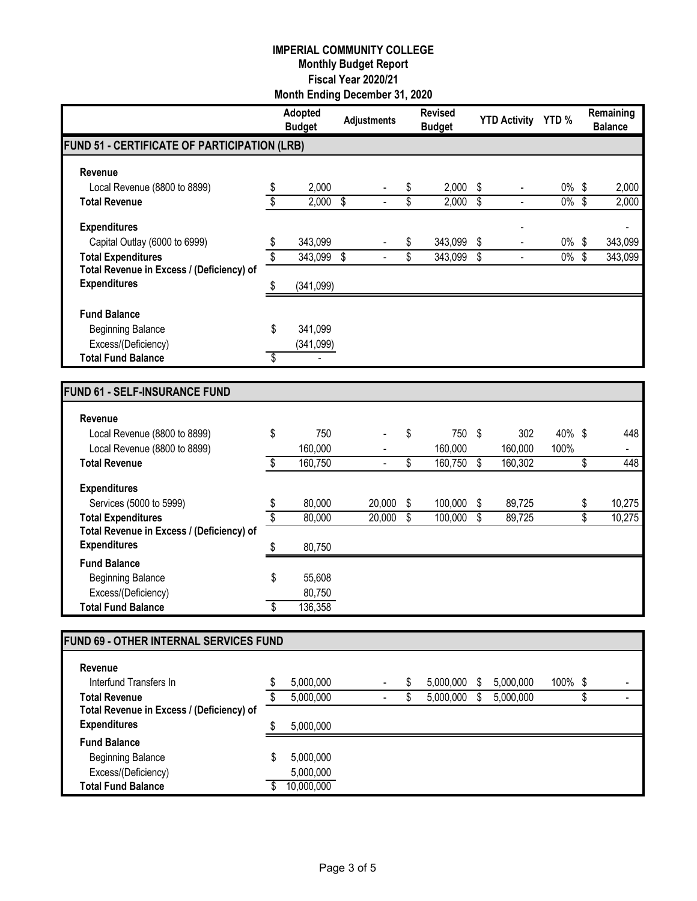|                                                |                 | Adopted<br><b>Budget</b> | <b>Adjustments</b> |                           | <b>Revised</b><br><b>Budget</b> |                | YTD Activity YTD %       |          |                          | Remaining<br><b>Balance</b> |
|------------------------------------------------|-----------------|--------------------------|--------------------|---------------------------|---------------------------------|----------------|--------------------------|----------|--------------------------|-----------------------------|
| FUND 51 - CERTIFICATE OF PARTICIPATION (LRB)   |                 |                          |                    |                           |                                 |                |                          |          |                          |                             |
| Revenue                                        |                 |                          |                    |                           |                                 |                |                          |          |                          |                             |
| Local Revenue (8800 to 8899)                   | \$              | 2,000                    |                    | \$                        | 2,000                           | \$             | $\blacksquare$           | $0\%$ \$ |                          | 2,000                       |
| <b>Total Revenue</b>                           | \$              | 2,000                    | \$                 | \$                        | 2,000                           | $\overline{s}$ | $\overline{a}$           | $0\%$    | \$                       | 2,000                       |
| <b>Expenditures</b>                            |                 |                          |                    |                           |                                 |                |                          |          |                          |                             |
| Capital Outlay (6000 to 6999)                  | \$              | 343,099                  |                    | \$                        | 343,099                         | \$             | $\overline{a}$           | $0\%$    | \$                       | 343,099                     |
| <b>Total Expenditures</b>                      | $\overline{\$}$ | 343,099                  | \$                 | $\overline{\mathbb{S}}$   | 343,099                         | \$             | $\overline{\phantom{a}}$ | $0\%$    | $\overline{\mathcal{S}}$ | 343,099                     |
| Total Revenue in Excess / (Deficiency) of      |                 |                          |                    |                           |                                 |                |                          |          |                          |                             |
| <b>Expenditures</b>                            | \$              | (341,099)                |                    |                           |                                 |                |                          |          |                          |                             |
| <b>Fund Balance</b>                            |                 |                          |                    |                           |                                 |                |                          |          |                          |                             |
| <b>Beginning Balance</b>                       | \$              | 341,099                  |                    |                           |                                 |                |                          |          |                          |                             |
| Excess/(Deficiency)                            |                 | (341,099)                |                    |                           |                                 |                |                          |          |                          |                             |
| <b>Total Fund Balance</b>                      | \$              |                          |                    |                           |                                 |                |                          |          |                          |                             |
|                                                |                 |                          |                    |                           |                                 |                |                          |          |                          |                             |
| <b>FUND 61 - SELF-INSURANCE FUND</b>           |                 |                          |                    |                           |                                 |                |                          |          |                          |                             |
| Revenue                                        |                 |                          |                    |                           |                                 |                |                          |          |                          |                             |
| Local Revenue (8800 to 8899)                   | \$              | 750                      |                    | \$                        | 750                             | - \$           | 302                      | 40% \$   |                          | 448                         |
| Local Revenue (8800 to 8899)                   |                 | 160,000                  |                    |                           | 160,000                         |                | 160,000                  | 100%     |                          |                             |
| <b>Total Revenue</b>                           | \$              | 160,750                  |                    | \$                        | 160,750                         | ها             | 160,302                  |          | \$                       | 448                         |
| <b>Expenditures</b>                            |                 |                          |                    |                           |                                 |                |                          |          |                          |                             |
| Services (5000 to 5999)                        | \$              | 80,000                   | 20,000             | \$                        | 100,000                         | \$             | 89,725                   |          | \$                       | 10,275                      |
| <b>Total Expenditures</b>                      | \$              | 80,000                   | 20,000             | $\boldsymbol{\mathsf{S}}$ | 100,000                         | \$             | 89,725                   |          | \$                       | 10,275                      |
| Total Revenue in Excess / (Deficiency) of      |                 |                          |                    |                           |                                 |                |                          |          |                          |                             |
| <b>Expenditures</b>                            | \$              | 80,750                   |                    |                           |                                 |                |                          |          |                          |                             |
| <b>Fund Balance</b>                            |                 |                          |                    |                           |                                 |                |                          |          |                          |                             |
| <b>Beginning Balance</b>                       | \$              | 55,608                   |                    |                           |                                 |                |                          |          |                          |                             |
| Excess/(Deficiency)                            |                 | 80,750                   |                    |                           |                                 |                |                          |          |                          |                             |
| <b>Total Fund Balance</b>                      | \$              | 136,358                  |                    |                           |                                 |                |                          |          |                          |                             |
| FUND 69 - OTHER INTERNAL SERVICES FUND         |                 |                          |                    |                           |                                 |                |                          |          |                          |                             |
|                                                |                 |                          |                    |                           |                                 |                |                          |          |                          |                             |
| Revenue                                        |                 |                          |                    |                           |                                 |                |                          |          |                          |                             |
| Interfund Transfers In<br><b>Total Revenue</b> | \$              | 5,000,000<br>5,000,000   |                    | \$<br>\$                  | 5,000,000<br>5,000,000          | - \$<br>-\$    | 5,000,000<br>5,000,000   | 100% \$  | \$                       | $\overline{\phantom{a}}$    |
| Total Revenue in Excess / (Deficiency) of      |                 |                          |                    |                           |                                 |                |                          |          |                          |                             |
| <b>Expenditures</b>                            | S               | 5,000,000                |                    |                           |                                 |                |                          |          |                          |                             |
| <b>Fund Balance</b>                            |                 |                          |                    |                           |                                 |                |                          |          |                          |                             |
| <b>Beginning Balance</b>                       | \$              | 5,000,000                |                    |                           |                                 |                |                          |          |                          |                             |
| Excess/(Deficiency)                            |                 | 5,000,000                |                    |                           |                                 |                |                          |          |                          |                             |
| <b>Total Fund Balance</b>                      | \$              | 10,000,000               |                    |                           |                                 |                |                          |          |                          |                             |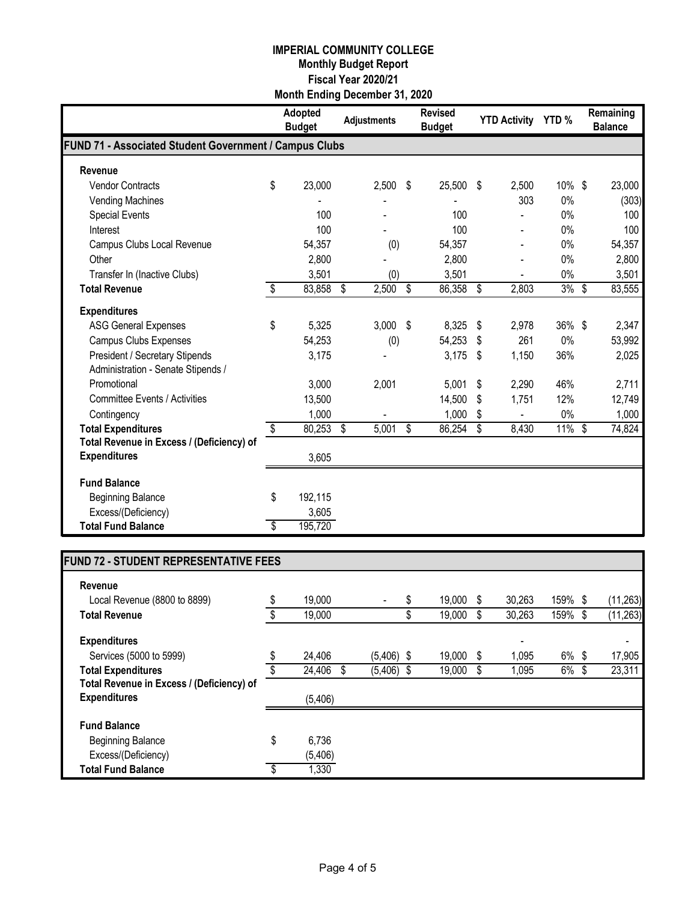|                                                        |                         | <b>Adopted</b><br><b>Budget</b> | <b>Adjustments</b> | <b>Revised</b><br><b>Budget</b> |                         | <b>YTD Activity</b> | YTD%      | Remaining<br><b>Balance</b> |
|--------------------------------------------------------|-------------------------|---------------------------------|--------------------|---------------------------------|-------------------------|---------------------|-----------|-----------------------------|
| FUND 71 - Associated Student Government / Campus Clubs |                         |                                 |                    |                                 |                         |                     |           |                             |
| Revenue                                                |                         |                                 |                    |                                 |                         |                     |           |                             |
| <b>Vendor Contracts</b>                                | \$                      | 23,000                          | 2,500              | \$<br>25,500                    | \$                      | 2,500               | 10% \$    | 23,000                      |
| <b>Vending Machines</b>                                |                         |                                 |                    |                                 |                         | 303                 | 0%        | (303)                       |
| <b>Special Events</b>                                  |                         | 100                             |                    | 100                             |                         |                     | 0%        | 100                         |
| Interest                                               |                         | 100                             |                    | 100                             |                         |                     | $0\%$     | 100                         |
| Campus Clubs Local Revenue                             |                         | 54,357                          | (0)                | 54,357                          |                         |                     | 0%        | 54,357                      |
| Other                                                  |                         | 2,800                           |                    | 2,800                           |                         |                     | 0%        | 2,800                       |
| Transfer In (Inactive Clubs)                           |                         | 3,501                           | (0)                | 3,501                           |                         |                     | 0%        | 3,501                       |
| <b>Total Revenue</b>                                   | $\sqrt[6]{\frac{1}{2}}$ | 83,858                          | \$<br>2,500        | \$<br>86,358                    | \$                      | 2,803               | 3%        | \$<br>83,555                |
| <b>Expenditures</b>                                    |                         |                                 |                    |                                 |                         |                     |           |                             |
| <b>ASG General Expenses</b>                            | \$                      | 5,325                           | 3,000              | \$<br>8,325                     | \$                      | 2,978               | 36% \$    | 2,347                       |
| <b>Campus Clubs Expenses</b>                           |                         | 54,253                          | (0)                | 54,253                          | \$                      | 261                 | 0%        | 53,992                      |
| <b>President / Secretary Stipends</b>                  |                         | 3,175                           |                    | 3,175                           | \$                      | 1,150               | 36%       | 2,025                       |
| Administration - Senate Stipends /                     |                         |                                 |                    |                                 |                         |                     |           |                             |
| Promotional                                            |                         | 3,000                           | 2,001              | 5,001                           | \$                      | 2,290               | 46%       | 2,711                       |
| <b>Committee Events / Activities</b>                   |                         | 13,500                          |                    | 14,500                          | \$                      | 1,751               | 12%       | 12,749                      |
| Contingency                                            |                         | 1,000                           |                    | 1,000                           | \$                      |                     | $0\%$     | 1,000                       |
| <b>Total Expenditures</b>                              | \$                      | 80,253                          | \$<br>5,001        | \$<br>86,254                    | $\overline{\mathbb{S}}$ | 8,430               | $11\%$ \$ | 74,824                      |
| Total Revenue in Excess / (Deficiency) of              |                         |                                 |                    |                                 |                         |                     |           |                             |
| <b>Expenditures</b>                                    |                         | 3,605                           |                    |                                 |                         |                     |           |                             |
| <b>Fund Balance</b>                                    |                         |                                 |                    |                                 |                         |                     |           |                             |
| <b>Beginning Balance</b>                               | \$                      | 192,115                         |                    |                                 |                         |                     |           |                             |
| Excess/(Deficiency)                                    |                         | 3,605                           |                    |                                 |                         |                     |           |                             |
| <b>Total Fund Balance</b>                              | \$                      | 195,720                         |                    |                                 |                         |                     |           |                             |

# **FUND 72 - STUDENT REPRESENTATIVE FEES**

| Revenue                                   |              |                    |   |        |   |        |          |   |                          |
|-------------------------------------------|--------------|--------------------|---|--------|---|--------|----------|---|--------------------------|
| Local Revenue (8800 to 8899)              | \$<br>19,000 | ٠                  | S | 19,000 | S | 30,263 | 159% \$  |   | (11, 263)                |
| <b>Total Revenue</b>                      | \$<br>19,000 |                    |   | 19,000 | S | 30,263 | 159% \$  |   | (11, 263)                |
| <b>Expenditures</b>                       |              |                    |   |        |   |        |          |   | $\overline{\phantom{a}}$ |
| Services (5000 to 5999)                   | \$<br>24,406 | $(5,406)$ \$       |   | 19,000 | S | 1,095  | $6\%$ \$ |   | 17,905                   |
| <b>Total Expenditures</b>                 | 24,406       | $(5,406)$ \$<br>-S |   | 19,000 | S | 1,095  | $6\%$    | S | 23,311                   |
| Total Revenue in Excess / (Deficiency) of |              |                    |   |        |   |        |          |   |                          |
| <b>Expenditures</b>                       | (5,406)      |                    |   |        |   |        |          |   |                          |
| <b>Fund Balance</b>                       |              |                    |   |        |   |        |          |   |                          |
| <b>Beginning Balance</b>                  | \$<br>6,736  |                    |   |        |   |        |          |   |                          |
| Excess/(Deficiency)                       | (5,406)      |                    |   |        |   |        |          |   |                          |
| <b>Total Fund Balance</b>                 | 1,330        |                    |   |        |   |        |          |   |                          |